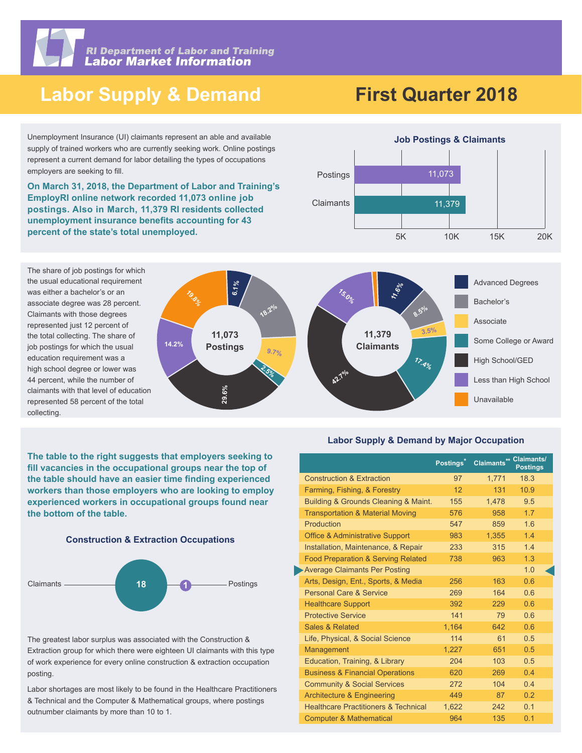

**RI Department of Labor and Training<br>Labor Market Information** 

## **Labor Supply & Demand**

# **First Quarter 2018**

Unemployment Insurance (UI) claimants represent an able and available supply of trained workers who are currently seeking work. Online postings represent a current demand for labor detailing the types of occupations employers are seeking to fill.

**On March 31, 2018, the Department of Labor and Training's EmployRI online network recorded 11,073 online job postings. Also in March, 11,379 RI residents collected unemployment insurance benefits accounting for 43 percent of the state's total unemployed.** 







**The table to the right suggests that employers seeking to**  fill vacancies in the occupational groups near the top of the table should have an easier time finding experienced **workers than those employers who are looking to employ experienced workers in occupational groups found near the bottom of the table.**





The greatest labor surplus was associated with the Construction & Extraction group for which there were eighteen UI claimants with this type of work experience for every online construction & extraction occupation posting.

Labor shortages are most likely to be found in the Healthcare Practitioners & Technical and the Computer & Mathematical groups, where postings outnumber claimants by more than 10 to 1.

#### **Labor Supply & Demand by Major Occupation**

|                                                 | Postings <sup>*</sup> | Claimants** Claimants/ | <b>Postings</b> |
|-------------------------------------------------|-----------------------|------------------------|-----------------|
| <b>Construction &amp; Extraction</b>            | 97                    | 1,771                  | 18.3            |
| Farming, Fishing, & Forestry                    | 12                    | 131                    | 10.9            |
| Building & Grounds Cleaning & Maint.            | 155                   | 1.478                  | 9.5             |
| <b>Transportation &amp; Material Moving</b>     | 576                   | 958                    | 1.7             |
| Production                                      | 547                   | 859                    | 1.6             |
| <b>Office &amp; Administrative Support</b>      | 983                   | 1,355                  | 1.4             |
| Installation, Maintenance, & Repair             | 233                   | 315                    | 1.4             |
| <b>Food Preparation &amp; Serving Related</b>   | 738                   | 963                    | 1.3             |
| <b>Average Claimants Per Posting</b>            |                       |                        | 1.0             |
| Arts, Design, Ent., Sports, & Media             | 256                   | 163                    | 0.6             |
| <b>Personal Care &amp; Service</b>              | 269                   | 164                    | 0.6             |
| <b>Healthcare Support</b>                       | 392                   | 229                    | 0.6             |
| <b>Protective Service</b>                       | 141                   | 79                     | 0.6             |
| Sales & Related                                 | 1.164                 | 642                    | 0.6             |
| Life, Physical, & Social Science                | 114                   | 61                     | 0.5             |
| Management                                      | 1,227                 | 651                    | 0.5             |
| Education, Training, & Library                  | 204                   | 103                    | 0.5             |
| <b>Business &amp; Financial Operations</b>      | 620                   | 269                    | 0.4             |
| <b>Community &amp; Social Services</b>          | 272                   | 104                    | 0.4             |
| <b>Architecture &amp; Engineering</b>           | 449                   | 87                     | 0.2             |
| <b>Healthcare Practitioners &amp; Technical</b> | 1,622                 | 242                    | 0.1             |
| <b>Computer &amp; Mathematical</b>              | 964                   | 135                    | 0.1             |